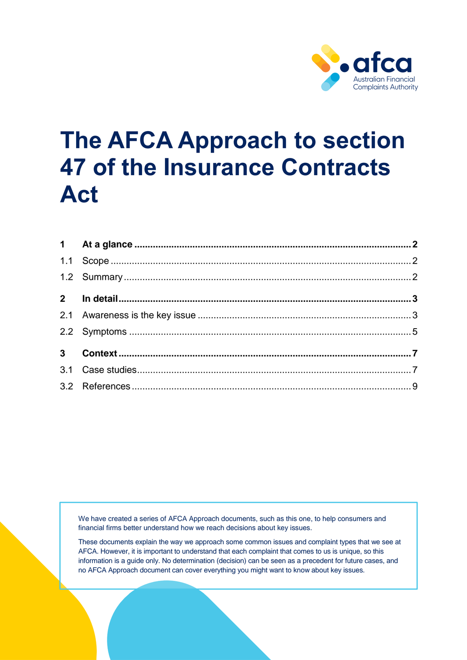

# **The AFCA Approach to section 47 of the Insurance Contracts Act**

We have created a series of AFCA Approach documents, such as this one, to help consumers and financial firms better understand how we reach decisions about key issues.

These documents explain the way we approach some common issues and complaint types that we see at AFCA. However, it is important to understand that each complaint that comes to us is unique, so this information is a guide only. No determination (decision) can be seen as a precedent for future cases, and no AFCA Approach document can cover everything you might want to know about key issues.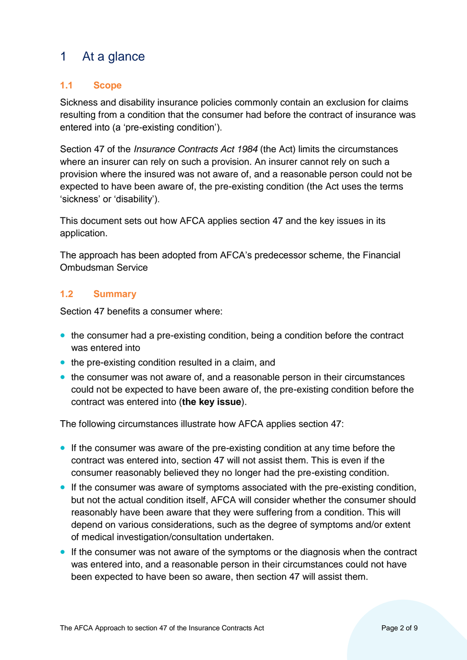# <span id="page-1-0"></span>1 At a glance

# <span id="page-1-1"></span>**1.1 Scope**

Sickness and disability insurance policies commonly contain an exclusion for claims resulting from a condition that the consumer had before the contract of insurance was entered into (a 'pre-existing condition').

Section 47 of the *Insurance Contracts Act 1984* (the Act) limits the circumstances where an insurer can rely on such a provision. An insurer cannot rely on such a provision where the insured was not aware of, and a reasonable person could not be expected to have been aware of, the pre-existing condition (the Act uses the terms 'sickness' or 'disability').

This document sets out how AFCA applies section 47 and the key issues in its application.

The approach has been adopted from AFCA's predecessor scheme, the Financial Ombudsman Service

# <span id="page-1-2"></span>**1.2 Summary**

Section 47 benefits a consumer where:

- the consumer had a pre-existing condition, being a condition before the contract was entered into
- the pre-existing condition resulted in a claim, and
- the consumer was not aware of, and a reasonable person in their circumstances could not be expected to have been aware of, the pre-existing condition before the contract was entered into (**the key issue**).

The following circumstances illustrate how AFCA applies section 47:

- If the consumer was aware of the pre-existing condition at any time before the contract was entered into, section 47 will not assist them. This is even if the consumer reasonably believed they no longer had the pre-existing condition.
- If the consumer was aware of symptoms associated with the pre-existing condition, but not the actual condition itself, AFCA will consider whether the consumer should reasonably have been aware that they were suffering from a condition. This will depend on various considerations, such as the degree of symptoms and/or extent of medical investigation/consultation undertaken.
- If the consumer was not aware of the symptoms or the diagnosis when the contract was entered into, and a reasonable person in their circumstances could not have been expected to have been so aware, then section 47 will assist them.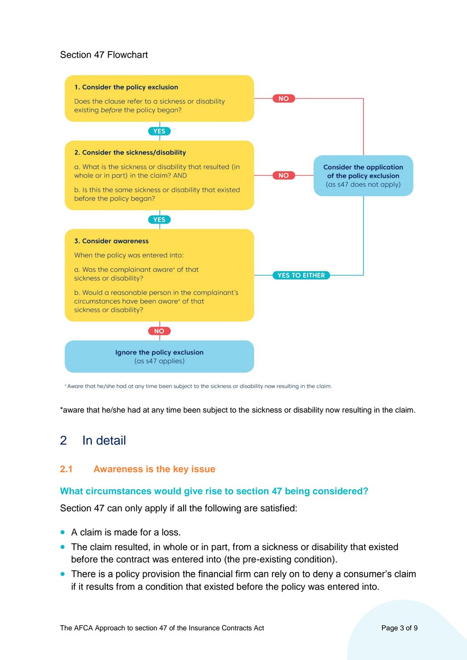#### Section 47 Flowchart



\* Aware that he/she had at any time been subject to the sickness or disability now resulting in the claim.

\*aware that he/she had at any time been subject to the sickness or disability now resulting in the claim.

# <span id="page-2-0"></span>2 In detail

#### <span id="page-2-1"></span>**2.1 Awareness is the key issue**

#### **What circumstances would give rise to section 47 being considered?**

Section 47 can only apply if all the following are satisfied:

- A claim is made for a loss.
- The claim resulted, in whole or in part, from a sickness or disability that existed before the contract was entered into (the pre-existing condition).
- There is a policy provision the financial firm can rely on to deny a consumer's claim if it results from a condition that existed before the policy was entered into.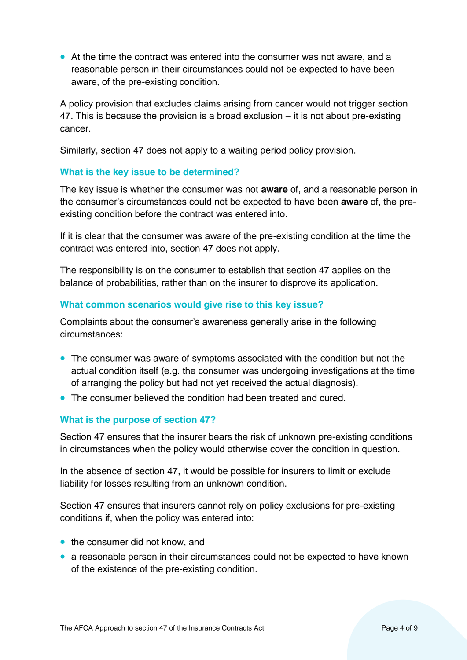• At the time the contract was entered into the consumer was not aware, and a reasonable person in their circumstances could not be expected to have been aware, of the pre-existing condition.

A policy provision that excludes claims arising from cancer would not trigger section 47. This is because the provision is a broad exclusion – it is not about pre-existing cancer.

Similarly, section 47 does not apply to a waiting period policy provision.

# **What is the key issue to be determined?**

The key issue is whether the consumer was not **aware** of, and a reasonable person in the consumer's circumstances could not be expected to have been **aware** of, the preexisting condition before the contract was entered into.

If it is clear that the consumer was aware of the pre-existing condition at the time the contract was entered into, section 47 does not apply.

The responsibility is on the consumer to establish that section 47 applies on the balance of probabilities, rather than on the insurer to disprove its application.

#### **What common scenarios would give rise to this key issue?**

Complaints about the consumer's awareness generally arise in the following circumstances:

- The consumer was aware of symptoms associated with the condition but not the actual condition itself (e.g. the consumer was undergoing investigations at the time of arranging the policy but had not yet received the actual diagnosis).
- The consumer believed the condition had been treated and cured.

# **What is the purpose of section 47?**

Section 47 ensures that the insurer bears the risk of unknown pre-existing conditions in circumstances when the policy would otherwise cover the condition in question.

In the absence of section 47, it would be possible for insurers to limit or exclude liability for losses resulting from an unknown condition.

Section 47 ensures that insurers cannot rely on policy exclusions for pre-existing conditions if, when the policy was entered into:

- the consumer did not know, and
- a reasonable person in their circumstances could not be expected to have known of the existence of the pre-existing condition.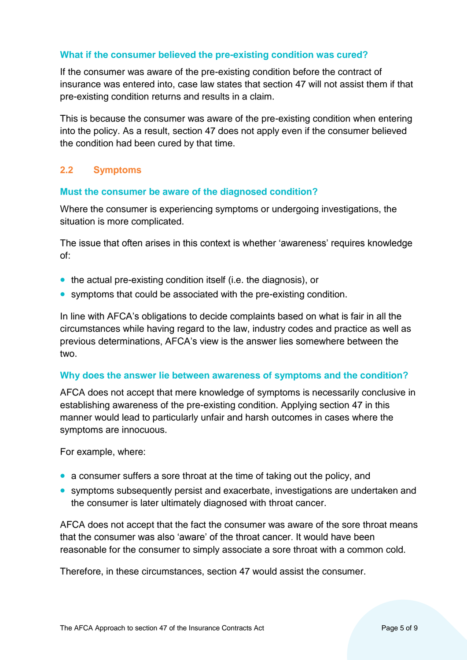#### **What if the consumer believed the pre-existing condition was cured?**

If the consumer was aware of the pre-existing condition before the contract of insurance was entered into, case law states that section 47 will not assist them if that pre-existing condition returns and results in a claim.

This is because the consumer was aware of the pre-existing condition when entering into the policy. As a result, section 47 does not apply even if the consumer believed the condition had been cured by that time.

# <span id="page-4-0"></span>**2.2 Symptoms**

#### **Must the consumer be aware of the diagnosed condition?**

Where the consumer is experiencing symptoms or undergoing investigations, the situation is more complicated.

The issue that often arises in this context is whether 'awareness' requires knowledge of:

- the actual pre-existing condition itself (i.e. the diagnosis), or
- symptoms that could be associated with the pre-existing condition.

In line with AFCA's obligations to decide complaints based on what is fair in all the circumstances while having regard to the law, industry codes and practice as well as previous determinations, AFCA's view is the answer lies somewhere between the two.

#### **Why does the answer lie between awareness of symptoms and the condition?**

AFCA does not accept that mere knowledge of symptoms is necessarily conclusive in establishing awareness of the pre-existing condition. Applying section 47 in this manner would lead to particularly unfair and harsh outcomes in cases where the symptoms are innocuous.

For example, where:

- a consumer suffers a sore throat at the time of taking out the policy, and
- symptoms subsequently persist and exacerbate, investigations are undertaken and the consumer is later ultimately diagnosed with throat cancer.

AFCA does not accept that the fact the consumer was aware of the sore throat means that the consumer was also 'aware' of the throat cancer. It would have been reasonable for the consumer to simply associate a sore throat with a common cold.

Therefore, in these circumstances, section 47 would assist the consumer.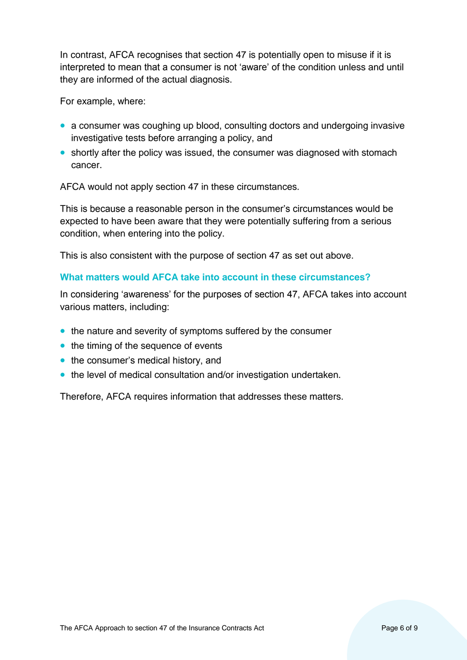In contrast, AFCA recognises that section 47 is potentially open to misuse if it is interpreted to mean that a consumer is not 'aware' of the condition unless and until they are informed of the actual diagnosis.

For example, where:

- a consumer was coughing up blood, consulting doctors and undergoing invasive investigative tests before arranging a policy, and
- shortly after the policy was issued, the consumer was diagnosed with stomach cancer.

AFCA would not apply section 47 in these circumstances.

This is because a reasonable person in the consumer's circumstances would be expected to have been aware that they were potentially suffering from a serious condition, when entering into the policy.

This is also consistent with the purpose of section 47 as set out above.

#### **What matters would AFCA take into account in these circumstances?**

In considering 'awareness' for the purposes of section 47, AFCA takes into account various matters, including:

- the nature and severity of symptoms suffered by the consumer
- the timing of the sequence of events
- the consumer's medical history, and
- the level of medical consultation and/or investigation undertaken.

Therefore, AFCA requires information that addresses these matters.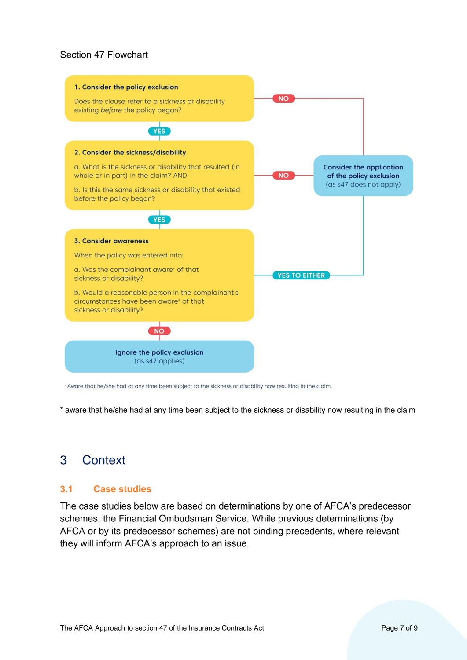#### Section 47 Flowchart



\* Aware that he/she had at any time been subject to the sickness or disability now resulting in the claim.

\* aware that he/she had at any time been subject to the sickness or disability now resulting in the claim

# <span id="page-6-0"></span>3 Context

#### <span id="page-6-1"></span>**3.1 Case studies**

The case studies below are based on determinations by one of AFCA's predecessor schemes, the Financial Ombudsman Service. While previous determinations (by AFCA or by its predecessor schemes) are not binding precedents, where relevant they will inform AFCA's approach to an issue.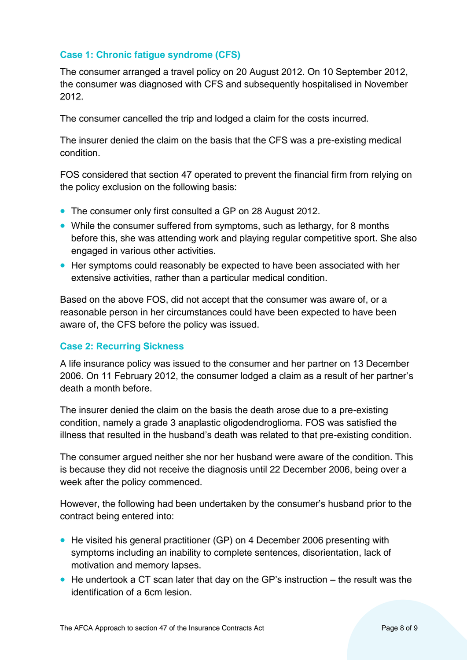# **Case 1: Chronic fatigue syndrome (CFS)**

The consumer arranged a travel policy on 20 August 2012. On 10 September 2012, the consumer was diagnosed with CFS and subsequently hospitalised in November 2012.

The consumer cancelled the trip and lodged a claim for the costs incurred.

The insurer denied the claim on the basis that the CFS was a pre-existing medical condition.

FOS considered that section 47 operated to prevent the financial firm from relying on the policy exclusion on the following basis:

- The consumer only first consulted a GP on 28 August 2012.
- While the consumer suffered from symptoms, such as lethargy, for 8 months before this, she was attending work and playing regular competitive sport. She also engaged in various other activities.
- Her symptoms could reasonably be expected to have been associated with her extensive activities, rather than a particular medical condition.

Based on the above FOS, did not accept that the consumer was aware of, or a reasonable person in her circumstances could have been expected to have been aware of, the CFS before the policy was issued.

#### **Case 2: Recurring Sickness**

A life insurance policy was issued to the consumer and her partner on 13 December 2006. On 11 February 2012, the consumer lodged a claim as a result of her partner's death a month before.

The insurer denied the claim on the basis the death arose due to a pre-existing condition, namely a grade 3 anaplastic oligodendroglioma. FOS was satisfied the illness that resulted in the husband's death was related to that pre-existing condition.

The consumer argued neither she nor her husband were aware of the condition. This is because they did not receive the diagnosis until 22 December 2006, being over a week after the policy commenced.

However, the following had been undertaken by the consumer's husband prior to the contract being entered into:

- He visited his general practitioner (GP) on 4 December 2006 presenting with symptoms including an inability to complete sentences, disorientation, lack of motivation and memory lapses.
- He undertook a CT scan later that day on the GP's instruction the result was the identification of a 6cm lesion.